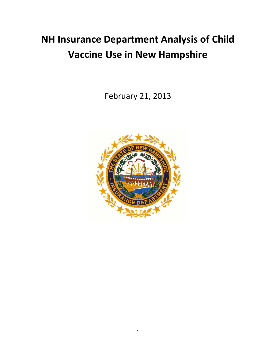## **NH Insurance Department Analysis of Child Vaccine Use in New Hampshire**

February 21, 2013

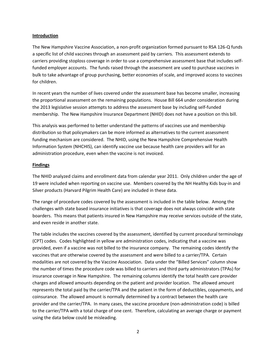## **Introduction**

The New Hampshire Vaccine Association, a non-profit organization formed pursuant to RSA 126-Q funds a specific list of child vaccines through an assessment paid by carriers. This assessment extends to carriers providing stoploss coverage in order to use a comprehensive assessment base that includes selffunded employer accounts. The funds raised through the assessment are used to purchase vaccines in bulk to take advantage of group purchasing, better economies of scale, and improved access to vaccines for children.

In recent years the number of lives covered under the assessment base has become smaller, increasing the proportional assessment on the remaining populations. House Bill 664 under consideration during the 2013 legislative session attempts to address the assessment base by including self-funded membership. The New Hampshire Insurance Department (NHID) does not have a position on this bill.

This analysis was performed to better understand the patterns of vaccines use and membership distribution so that policymakers can be more informed as alternatives to the current assessment funding mechanism are considered. The NHID, using the New Hampshire Comprehensive Health Information System (NHCHIS), can identify vaccine use because health care providers will for an administration procedure, even when the vaccine is not invoiced.

## **Findings**

The NHID analyzed claims and enrollment data from calendar year 2011. Only children under the age of 19 were included when reporting on vaccine use. Members covered by the NH Healthy Kids buy-in and Silver products (Harvard Pilgrim Health Care) are included in these data.

The range of procedure codes covered by the assessment is included in the table below. Among the challenges with state based insurance initiatives is that coverage does not always coincide with state boarders. This means that patients insured in New Hampshire may receive services outside of the state, and even reside in another state.

The table includes the vaccines covered by the assessment, identified by current procedural terminology (CPT) codes. Codes highlighted in yellow are administration codes, indicating that a vaccine was provided, even if a vaccine was not billed to the insurance company. The remaining codes identify the vaccines that are otherwise covered by the assessment and were billed to a carrier/TPA. Certain modalities are not covered by the Vaccine Association. Data under the "Billed Services" column show the number of times the procedure code was billed to carriers and third party administrators (TPAs) for insurance coverage in New Hampshire. The remaining columns identify the total health care provider charges and allowed amounts depending on the patient and provider location. The allowed amount represents the total paid by the carrier/TPA and the patient in the form of deductibles, copayments, and coinsurance. The allowed amount is normally determined by a contract between the health care provider and the carrier/TPA. In many cases, the vaccine procedure (non-administration code) is billed to the carrier/TPA with a total charge of one cent. Therefore, calculating an average charge or payment using the data below could be misleading.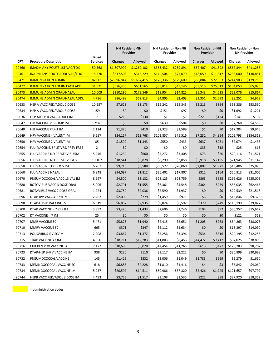|            |                                     | <b>Billed</b>   |                | <b>NH Resident -NH</b><br>Provider | <b>NH Resident - Non NH</b><br>Provider |           | <b>Non Resident - NH</b><br>Provider |                |                | <b>Non Resident - Non</b><br><b>NH Provider</b> |
|------------|-------------------------------------|-----------------|----------------|------------------------------------|-----------------------------------------|-----------|--------------------------------------|----------------|----------------|-------------------------------------------------|
| <b>CPT</b> | <b>Procedure Description</b>        | <b>Services</b> | <b>Charges</b> | <b>Allowed</b>                     | <b>Charges</b>                          | Allowed   | <b>Charges</b>                       | <b>Allowed</b> | <b>Charges</b> | Allowed                                         |
| 90460      | <b>IMADM ANY ROUTE 1ST VAC/TOX</b>  | 50,568          | \$1,607,999    | \$1.262.182                        | \$363,432                               | \$259,891 | \$52,407                             | \$41,692       | \$567,344      | \$411,253                                       |
| 90461      | <b>INADM ANY ROUTE ADDL VAC/TOX</b> | 18,270          | \$517,508      | \$346,229                          | \$140,504                               | \$77,079  | \$18,059                             | \$11,617       | \$235,000      | \$130,881                                       |
| 90471      | <b>IMMUNIZATION ADMIN</b>           | 82,001          | \$2,096,844    | \$1,637,415                        | \$178,336                               | \$129,609 | \$88,884                             | \$72,383       | \$244,903      | \$179,785                                       |
| 90472      | <b>IMMUNIZATION ADMIN EACH ADD</b>  | 31,521          | \$876,436      | \$631,565                          | \$68,814                                | \$43,146  | \$33,515                             | \$25,813       | \$104,053      | \$65,026                                        |
| 90473      | <b>IMMUNE ADMIN ORAL/NASAL</b>      | 10,009          | \$210,296      | \$172,549                          | \$19,954                                | \$14,825  | \$5,343                              | \$4,625        | \$22,076       | \$15,867                                        |
| 90474      | <b>IMMUNE ADMIN ORAL/NASAL ADDL</b> | 4,796           | \$86,498       | \$62,813                           | \$4,805                                 | \$2,403   | \$3,351                              | \$2,592        | \$8,251        | \$4,979                                         |
| 90633      | HEP A VACC PED/ADOL 2 DOSE          | 10,557          | \$7,628        | \$3,173                            | \$19,242                                | \$12,343  | \$2,213                              | \$854          | \$93,286       | \$53,560                                        |
| 90634      | HEP A VACC PED/ADOL 3 DOSE          | 159             | \$0            | \$0                                | \$151                                   | \$97      | \$0                                  | \$0            | \$1,692        | \$1,221                                         |
| 90636      | HEP A/HEP B VACC ADULT IM           | $\overline{7}$  | \$216          | \$130                              | \$1                                     | \$1       | \$221                                | \$134          | \$141          | \$102                                           |
| 90647      | HIB VACCINE PRP-OMP IM              | 214             | \$5            | \$0                                | \$639                                   | \$504     | \$0                                  | \$0            | \$7,268        | \$4,559                                         |
| 90648      | HIB VACCINE PRP-T IM                | 2,124           | \$1,320        | \$410                              | \$2,323                                 | \$1,589   | \$1                                  | \$0            | \$17,204       | \$9,946                                         |
| 90649      | HPV VACCINE 4 VALENT IM             | 6,557           | \$24,157       | \$13,768                           | \$102,857                               | \$75,516  | \$7,232                              | \$4,954        | \$202,793      | \$154,318                                       |
| 90650      | HPV VACCINE 2 VALENT IM             | 85              | \$1,592        | \$1,343                            | \$550                                   | \$433     | \$637                                | \$281          | \$2,074        | \$1,438                                         |
| 90654      | FLU VACCINE, SPLIT VRS, PRSV FREE   | $\overline{2}$  | \$0            | \$0                                | \$0                                     | \$0       | \$35                                 | \$18           | \$25           | \$13                                            |
| 90655      | FLU VACCINE NO PRESERV 6-35M        | 5,246           | \$1,239        | \$660                              | \$5,272                                 | \$3,408   | \$73                                 | \$60           | \$20,116       | \$11,521                                        |
| 90656      | FLU VACCINE NO PRESERV 3 & >        | 10,107          | \$18,541       | \$5,878                            | \$8,290                                 | \$3,858   | \$5,918                              | \$3,195        | \$21,945       | \$11,142                                        |
| 90658      | FLU VACCINE 3 YRS & > IM            | 6,767           | \$9,716        | \$5,588                            | \$30,577                                | \$20,060  | \$2,802                              | \$1,971        | \$43,406       | \$25,020                                        |
| 90660      | FLU VACCINE NASAL                   | 6,848           | \$94,097       | \$1,812                            | \$26,402                                | \$17,807  | \$312                                | \$164          | \$50,813       | \$31,005                                        |
| 90670      | PNEUMOCOCCAL VACC 13 VAL IM         | 8,997           | \$4,500        | \$3,132                            | \$28,125                                | \$23,759  | \$863                                | \$685          | \$292,626      | \$225,005                                       |
| 90680      | ROTOVIRUS VACC 3 DOSE ORAL          | 5,006           | \$2,791        | \$1,555                            | \$6,361                                 | \$4,548   | \$364                                | \$259          | \$86,035       | \$62,465                                        |
| 90681      | ROTAVIRUS VACC 2 DOSE ORAL          | 1,224           | \$3,752        | \$2,036                            | \$2,590                                 | \$1,937   | \$0                                  | \$0            | \$29,539       | \$21,518                                        |
| 90696      | DTAP-IPV VACC 4-6 YR IM             | 2,262           | \$2,009        | \$779                              | \$1,459                                 | \$971     | \$6                                  | \$0            | \$13,846       | \$9,325                                         |
| 90698      | DTAP-HIB-IP VACCINE IM              | 6,819           | \$6,857        | \$2,935                            | \$9,024                                 | \$6,592   | \$379                                | \$249          | \$110,199      | \$79,827                                        |
| 90700      | DTAP VACCINE < 7 YRS IM             | 3,852           | \$3,420        | \$1,433                            | \$2,606                                 | \$1,246   | \$194                                | \$92           | \$30,957       | \$15,647                                        |
| 90702      | DT VACCINE < 7 IM                   | 25              | \$0            | \$0                                | \$0                                     | \$0       | \$0                                  | \$0            | \$121          | \$59                                            |
| 90707      | MMR VACCINE SC                      | 5,471           | \$5,873        | \$1,940                            | \$4,415                                 | \$2,651   | \$1,205                              | \$783          | \$54,863       | \$38,075                                        |
| 90710      | MMRV VACCINE SC                     | 665             | \$371          | \$347                              | \$2,112                                 | \$1,634   | \$0                                  | \$0            | \$18,397       | \$14,090                                        |
| 90713      | POLIOVIRUS IPV SC/IM                | 2,208           | \$3,867        | \$1,372                            | \$5,256                                 | \$3,396   | \$534                                | \$316          | \$20,195       | \$12,255                                        |
| 90715      | TDAP VACCINE >7 IM                  | 4,950           | \$18,711       | \$12,283                           | \$11,803                                | \$8,456   | \$14,472                             | \$9,417        | \$57,025       | \$38,895                                        |
| 90716      | CHICKEN POX VACCINE SC              | 7,172           | \$10,695       | \$6,028                            | \$14,454                                | \$11,265  | \$613                                | \$477          | \$128,783      | \$98,207                                        |
| 90723      | DTAP-HEP B-IPV VACCINE IM           | 938             | \$230          | \$110                              | \$3,117                                 | \$2,222   | \$0                                  | \$0            | \$30,899       | \$20,998                                        |
| 90732      | PNEUMOCOCCAL VACCINE                | 145             | \$1,429        | \$332                              | \$2,006                                 | \$1,049   | \$1,783                              | \$959          | \$2,279        | \$1,650                                         |
| 90733      | MENINGOCOCCAL VACCINE SC            | 618             | \$6,883        | \$4,228                            | \$1,810                                 | \$1,416   | \$4                                  | \$3            | \$5,842        | \$4,060                                         |
| 90734      | MENINGOCOCCAL VACCINE IM            | 5,937           | \$20,597       | \$14,511                           | \$50,986                                | \$37,320  | \$2,426                              | \$1,745        | \$121,657      | \$97,797                                        |
| 90744      | HEPB VACC PED/ADOL 3 DOSE IM        | 4,493           | \$3,755        | \$1,517                            | \$3,108                                 | \$1,535   | \$222                                | \$88           | \$37,920       | \$18,352                                        |

 $\begin{array}{|c|c|c|}\n\hline\n\end{array}$  = administration codes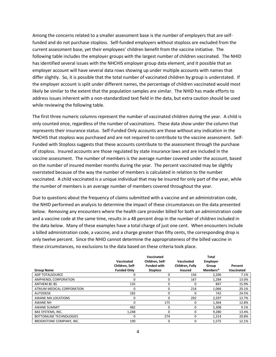Among the concerns related to a smaller assessment base is the number of employers that are selffunded and do not purchase stoploss. Self-funded employers without stoploss are excluded from the current assessment base, yet their employees' children benefit from the vaccine initiative. The following table includes the employer groups with the largest number of children vaccinated. The NHID has identified several issues with the NHCHIS employer group data element, and it possible that an employer account will have several data rows showing up under multiple accounts with names that differ slightly. So, it is possible that the total number of vaccinated children by group is understated. If the employer account is split under different names, the percentage of children vaccinated would most likely be similar to the extent that the population samples are similar. The NHID has made efforts to address issues inherent with a non-standardized text field in the data, but extra caution should be used while reviewing the following table.

The first three numeric columns represent the number of vaccinated children during the year. A child is only counted once, regardless of the number of vaccinations. These data show under the column that represents their insurance status. Self-Funded Only accounts are those without any indication in the NHCHIS that stoploss was purchased and are not required to contribute to the vaccine assessment. Self-Funded with Stoploss suggests that these accounts contribute to the assessment through the purchase of stoploss. Insured accounts are those regulated by state insurance laws and are included in the vaccine assessment. The number of members is the average number covered under the account, based on the number of insured member months during the year. The percent vaccinated may be slightly overstated because of the way the number of members is calculated in relation to the number vaccinated. A child vaccinated is a unique individual that may be insured for only part of the year, while the number of members is an average number of members covered throughout the year.

Due to questions about the frequency of claims submitted with a vaccine and an administration code, the NHID performed an analysis to determine the impact of these circumstances on the data presented below. Removing any encounters where the health care provider billed for both an administration code and a vaccine code at the same time, results in a 48 percent drop in the number of children included in the data below. Many of these examples have a total charge of just one cent. When encounters include a billed administration code, a vaccine, and a charge greater than fifty cents, the corresponding drop is only twelve percent. Since the NHID cannot determine the appropriateness of the billed vaccine in these circumstances, no exclusions to the data based on these criteria took place.

|                                 | Vaccinated<br>Children, Self- | Vaccinated<br>Children, Self-<br><b>Funded with</b> | Vaccinated<br>Children, Fully | <b>Total</b><br>Employer<br>Group | Percent    |
|---------------------------------|-------------------------------|-----------------------------------------------------|-------------------------------|-----------------------------------|------------|
| <b>Group Name</b>               | <b>Funded Only</b>            | <b>Stoploss</b>                                     | Insured                       | Members*                          | Vaccinated |
| <b>ADP TOTALSOURCE</b>          | 0                             | 0                                                   | 156                           | 2,206                             | 7.1%       |
| AMPHENOL CORPORATION            | $\Omega$                      | 0                                                   | 167                           | 1,284                             | 13.0%      |
| ANTHEM BC BS                    | 135                           | 0                                                   | $\Omega$                      | 847                               | 15.9%      |
| ATRIUM MEDICAL CORPORATION      | 0                             | 0                                                   | 214                           | 1,066                             | 20.1%      |
| <b>AUTODESK</b>                 | 182                           | 0                                                   | 0                             | 742                               | 24.5%      |
| AWANE MA LOCATIONS              | 0                             |                                                     | 292                           | 2,297                             | 12.7%      |
| <b>AWANE NH</b>                 | $\Omega$                      | 175                                                 | 0                             | 1,364                             | 12.8%      |
| <b>AWANE SUMMIT</b>             | 482                           | $\Omega$                                            | 0                             | 5,308                             | 9.1%       |
| BAE SYSTEMS, INC.               | 1,248                         | $\Omega$                                            | 0                             | 9,280                             | 13.4%      |
| <b>BOTTOMLINE TECHNOLOGIES</b>  | 0                             | 274                                                 | 0                             | 1,314                             | 20.8%      |
| <b>BROOKSTONE COMPANY, INC.</b> | 190                           | $\Omega$                                            | 0                             | 1,575                             | 12.1%      |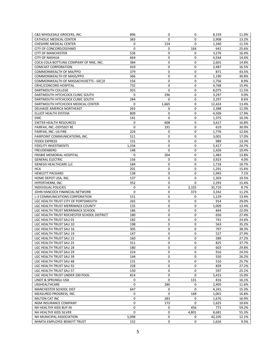| C&S WHOLESALE GROCERS, INC.                | 896    | 0                  | 0           | 8,159  | 11.0% |
|--------------------------------------------|--------|--------------------|-------------|--------|-------|
| <b>CATHOLIC MEDICAL CENTER</b>             | 383    | $\Omega$           | $\mathbf 0$ | 2,908  | 13.2% |
| CHESHIRE MEDICAL CENTER                    | 0      | 154                | 0           | 1,340  | 11.5% |
| CITY OF CONCORD/20/HMO                     | 0      | 0                  | 164         | 641    | 25.6% |
| <b>CITY OF MANCHESTER</b>                  | 536    | $\mathbf 0$        | 0           | 3,276  | 16.4% |
| <b>CITY OF NASHUA</b>                      | 664    | 0                  | 0           | 4,544  | 14.6% |
| COCA COLA BOTTLING COMPANY OF NNE, INC.    | 384    | 0                  | 0           | 2,601  | 14.8% |
| <b>COMCAST CORPORATION</b>                 | 410    | $\mathbf 0$        | 0           | 2,487  | 16.5% |
| COMMONWEALTH OF MA/PPO                     | 379    | $\boldsymbol{0}$   | 0           | 871    | 43.5% |
| COMMONWEALTH OF MASS/PPO                   | 366    | 0                  | 0           | 1,190  | 30.8% |
| COMMONWEALTH OF MASSACHUSETTS - GIC   0    | 156    | 0                  | 0           | 1,756  | 8.9%  |
| CRHC/CONCORD HOSPITAL                      | 732    | 0                  | 0           | 4,768  | 15.4% |
| DARTMOUTH COLLEGE                          | 925    | 0                  | 0           | 8,075  | 11.5% |
| DARTMOUTH HITCHCOCK CLINIC SOUTH           | 0      | 296                | 0           | 3,297  | 9.0%  |
| DARTMOUTH HITCHCOCK CLINIC SOUTH           | 284    | 0                  | 0           | 3,297  | 8.6%  |
| DARTMOUTH HITCHCOCK MEDICAL CENTER         | 0      | 1,665              | 0           | 12,424 | 13.4% |
| DELHAIZE AMERICA NORTHEAST                 | 263    | 0                  | 0           | 2,388  | 11.0% |
| ELLIOT HEALTH SYSTEM                       | 809    | 0                  | 0           | 4,509  | 17.9% |
| EMC                                        | 141    | 0                  | $\mathbf 0$ | 1,375  | 10.3% |
| <b>EXETER HEALTH RESOURCES</b>             | 0      | 608                | 0           | 3,617  | 16.8% |
| FAIRFAX, INC.-ODYSSEY RE                   | 0      | 191                | 0           | 619    | 30.9% |
| FAIRFAX, INC.-US FIRE                      | 224    | 0                  | 0           | 1,776  | 12.6% |
| FAIRPOINT COMMUNICATIONS, INC.             | 511    | $\boldsymbol{0}$   | 0           | 3,001  | 17.0% |
| <b>FEDEX EXPRESS</b>                       | 131    | 0                  | 0           | 989    | 13.3% |
| <b>FIDELITY INVESTMENTS</b>                | 1,336  | 0                  | 0           | 5,417  | 24.7% |
| <b>FREUDENBERG</b>                         | 148    | 0                  | $\mathbf 0$ | 1,426  | 10.4% |
| FRISBIE MEMORIAL HOSPITAL                  | 0      | 204                | 0           | 1,483  | 13.8% |
| <b>GENERAL ELECTRIC</b>                    | 156    | 0                  | 0           | 3,923  | 4.0%  |
| <b>GENESIS HEALTHCARE LLC</b>              | 184    | 0                  | $\mathbf 0$ | 1,718  | 10.7% |
| <b>HCA</b>                                 | 201    | 0                  | 0           | 1,291  | 15.6% |
| <b>HEWLETT PACKARD</b>                     | 138    | 0                  | 0           | 1,945  | 7.1%  |
| HOME DEPOT USA, INC.                       | 137    | 0                  | 0           | 1,303  | 10.5% |
| HYPERTHERM, INC.                           | 352    | $\mathbf 0$        | 0           | 2,293  | 15.4% |
| INDIVIDUAL POLICIES                        | 0      | 0                  | 3,102       | 35,710 | 8.7%  |
| JOHN HANCOCK FINANCIAL NETWORK             | 0      | 0                  | 373         | 3,342  | 11.2% |
| L-3 COMMUNICATIONS CORPORATION             | 151    | 0                  | $\mathbf 0$ | 1,129  | 13.4% |
| LGC HEALTH TRUST CITY OF PORTSMOUTH        | 265    | 0                  | 0           | 914    | 29.0% |
| LGC HEALTH TRUST MERRIMACK COUNTY          | 135    | 0                  | 0           | 1,009  | 13.4% |
| LGC HEALTH TRUST MERRIMACK SCHOOL          | 186    | 0                  | 0           | 844    | 22.0% |
| LGC HEALTH TRUST ROCHESTER SCHOOL DISTRICT | 180    | $\mathbf 0$        | 0           | 656    | 27.4% |
| LGC HEALTH TRUST SAU 01                    | 182    | 0                  | 0           | 741    | 24.6% |
| LGC HEALTH TRUST SAU 10                    | 198    | 0                  | 0           | 563    | 35.2% |
| LGC HEALTH TRUST SAU 16                    | 305    | $\mathbf 0$        | $\mathbf 0$ | 797    | 38.3% |
| LGC HEALTH TRUST SAU 19                    | 147    | $\Omega$           | $\Omega$    | 527    | 27.9% |
| LGC HEALTH TRUST SAU 21                    | 160    | 0                  | 0           | 589    | 27.2% |
| LGC HEALTH TRUST SAU 25                    | 311    | 0                  | 0           | 825    | 37.7% |
| LGC HEALTH TRUST SAU 28                    | 180    | 0                  | 0           | 603    | 29.8% |
| LGC HEALTH TRUST SAU 29                    | 224    | 0                  | 0           | 916    | 24.5% |
| LGC HEALTH TRUST SAU 39                    | 144    | 0                  | 0           | 550    | 26.2% |
| LGC HEALTH TRUST SAU 48                    | 131    | 0                  | $\mathbf 0$ | 510    | 25.7% |
| LGC HEALTH TRUST SAU 55                    | 228    | 0                  | 0           | 839    | 27.2% |
| LGC HEALTH TRUST SAU 57                    | 150    | 0                  | 0           | 597    | 25.1% |
| LGC HEALTH TRUST UNDER 100 POOL            | 814    | 0                  | $\mathbf 0$ | 5,415  | 15.0% |
| LINDT & SPRUNGLI USA                       | 0      | $\mathbf 0$        | 131         | 816    | 16.1% |
| LRGHEALTHCARE                              | 0      | 280                | 0           | 2,405  | 11.6% |
| MANCHESTER SCHOOL DIST                     | 647    | 0                  | 0           | 4,241  | 15.3% |
|                                            |        | $\mathbf 0$        |             |        |       |
| MEASURED PROGRESS, INC.                    | 0      |                    | 168         | 1,001  | 16.8% |
| MILTON CAT INC                             | 0      | 283                | 0           | 1,676  | 16.9% |
| NGM INSURANCE COMPANY                      | 0<br>0 | 173<br>$\mathbf 0$ | 0<br>456    | 1,625  | 10.6% |
| NH HEALTHY KIDS BUY IN                     | 0      |                    |             | 771    | 59.2% |
| NH HEALTHY KIDS SILVER                     |        | 0                  | 4,801       | 8,681  | 55.3% |
| NH MUNICIPAL ASSOCIATION                   | 5,098  | 0                  | 0           | 42,105 | 12.1% |
| NHMTA EMPLOYEE BENEFIT TRUST               | 152    | 0                  | 0           | 1,626  | 9.3%  |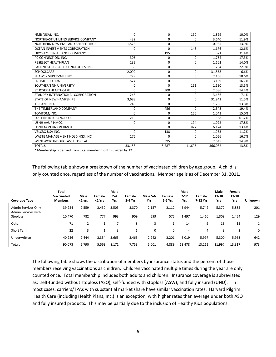| NMB (USA), INC.                     | 0        | 0           | 190      | 1,899   | 10.0% |
|-------------------------------------|----------|-------------|----------|---------|-------|
| NORTHEAST UTILITIES SERVICE COMPANY | 432      | 0           | 0        | 3.640   | 11.9% |
| NORTHERN NEW ENGLAND BENEFIT TRUST  | 1,528    | 0           | $\Omega$ | 10,985  | 13.9% |
| OCEAN INVESTMENTS CORPORATION       | 0        | $\Omega$    | 148      | 1,176   | 12.6% |
| <b>ODYSSEY REINSURANCE COMPANY</b>  | 0        | 195         | 0        | 621     | 31.4% |
| PC CONNECTION, INC.                 | 306      | $\mathbf 0$ | 0        | 1,764   | 17.3% |
| RBSELECT HEALTHPLAN                 | 232      | 0           | 0        | 1,662   | 14.0% |
| SALIENT SURGICAL TECHNOLOGIES, INC. | 168      | 0           | 0        | 734     | 22.9% |
| <b>SCHOOLCARE</b>                   | 2,092    | 0           | 0        | 31,858  | 6.6%  |
| SHAWS - SUPERVALU INC               | 229      | $\Omega$    | $\Omega$ | 2,166   | 10.6% |
| <b>SNHMC PPO HRA</b>                | 524      | 0           | $\Omega$ | 3,139   | 16.7% |
| SOUTHERN NH UNIVERSITY              | 0        | $\Omega$    | 161      | 1,190   | 13.5% |
| ST JOSEPH HEALTHCARE                | 0        | 300         | 0        | 2,086   | 14.4% |
| STANDEX INTERNATIONAL CORPORATION   | 245      | 0           | 0        | 3,466   | 7.1%  |
| <b>STATE OF NEW HAMPSHIRE</b>       | 3,688    | 0           | 0        | 31,942  | 11.5% |
| TD BANK, N.A.                       | 248      | $\Omega$    | 0        | 1.796   | 13.8% |
| THE TIMBERLAND COMPANY              | 0        | 456         | $\Omega$ | 2,348   | 19.4% |
| TOMTOM, INC.                        | $\Omega$ | 0           | 156      | 1,043   | 15.0% |
| U.S. FIRE INSURANCE CO.             | 219      | 0           | $\Omega$ | 358     | 61.2% |
| <b>USNH AAUP HMO2</b>               | 0        | 0           | 194      | 1,092   | 17.8% |
| USNH NON UNION HMO1                 | 0        | $\Omega$    | 822      | 6,124   | 13.4% |
| <b>VELCRO USA INC.</b>              | $\Omega$ | 138         | 0        | 1,233   | 11.2% |
| WASTE MANAGEMENT HOLDINGS, INC.     | 176      | $\Omega$    | 0        | 1,056   | 16.7% |
| <b>WENTWORTH-DOUGLASS HOSPITAL</b>  | $\Omega$ | 395         | $\Omega$ | 2,645   | 14.9% |
| <b>TOTALS</b>                       | 33,158   | 5,787       | 11,695   | 366,032 | 13.8% |

\* Membership is derived from total member months divided by 12.

The following table shows a breakdown of the number of vaccinated children by age group. A child is only counted once, regardless of the number of vaccinations. Member age is as of December 31, 2011.

| <b>Coverage Type</b> | Total<br>Vaccinated<br><b>Members</b> | Male<br><2 yrs | Female<br><2 Yrs | Male<br>$2 - 4$<br>Yrs | Female<br>2-4 Yrs | Male 5-6<br>Yrs | Female<br>5-6 Yrs | Male<br>7.12<br>Yrs | Female<br>7-12 Yrs | Male<br>13-18<br>Yrs | Female<br>13-18<br>Yrs | Unknown |
|----------------------|---------------------------------------|----------------|------------------|------------------------|-------------------|-----------------|-------------------|---------------------|--------------------|----------------------|------------------------|---------|
| Admin Services Only  | 39,254                                | 2,559          | 2,430            | 3,503                  | 3,370             | 2,157           | 2,112             | 5,944               | 5,742              | 5,372                | 5,885                  | 201     |
| Admin Services with  |                                       |                |                  |                        |                   |                 |                   |                     |                    |                      |                        |         |
| <b>Stoploss</b>      | 10,470                                | 782            | 777              | 993                    | 909               | 599             | 575               | 1,497               | 1,460              | 1,309                | 1,454                  | 129     |
| Other                | 71                                    | $\overline{L}$ |                  |                        | 8                 | 3               |                   | 14                  | 9                  | 13                   | 12                     |         |
| Short Term           | 22                                    |                | 1                | 3                      |                   | 0               | 0                 | 4                   | 4                  | 3                    | 3                      | 0       |
| Underwritten         | 40,256                                | 2,444          | 2,354            | 3,665                  | 3,465             | 2,242           | 2,201             | 6,019               | 5,997              | 5,300                | 5,963                  | 642     |
| <b>Totals</b>        | 90,073                                | 5,790          | 5,563            | 8,171                  | 7,753             | 5,001           | 4,889             | 13,478              | 13,212             | 11,997               | 13,317                 | 973     |

The following table shows the distribution of members by insurance status and the percent of those members receiving vaccinations as children. Children vaccinated multiple times during the year are only counted once. Total membership includes both adults and children. Insurance coverage is abbreviated as: self-funded without stoploss (ASO), self-funded with stoploss (ASW), and fully insured (UND). In most cases, carriers/TPAs with substantial market share have similar vaccination rates. Harvard Pilgrim Health Care (including Health Plans, Inc.) is an exception, with higher rates than average under both ASO and fully insured products. This may be partially due to the inclusion of Healthy Kids populations.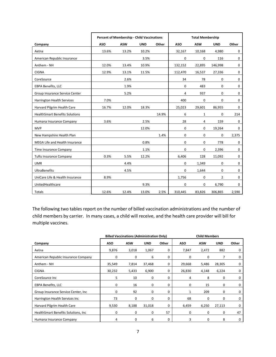|                                       |            | Percent of Membership - Child Vaccinations |            |       | <b>Total Membership</b> |            |                |             |  |  |
|---------------------------------------|------------|--------------------------------------------|------------|-------|-------------------------|------------|----------------|-------------|--|--|
| Company                               | <b>ASO</b> | <b>ASW</b>                                 | <b>UND</b> | Other | <b>ASO</b>              | <b>ASW</b> | <b>UND</b>     | Other       |  |  |
| Aetna                                 | 13.6%      | 13.2%                                      | 10.2%      |       | 32,167                  | 10,168     | 4,980          | 0           |  |  |
| American Republic Insurance           |            |                                            | 3.5%       |       | $\mathbf 0$             | 0          | 116            | $\mathbf 0$ |  |  |
| Anthem - NH                           | 12.0%      | 13.4%                                      | 10.9%      |       | 132,152                 | 22,895     | 146,998        | 0           |  |  |
| <b>CIGNA</b>                          | 12.9%      | 13.1%                                      | 11.5%      |       | 112,470                 | 16,537     | 27,336         | 0           |  |  |
| CoreSource                            |            | 2.6%                                       |            |       | 34                      | 78         | 0              | $\mathbf 0$ |  |  |
| EBPA Benefits, LLC                    |            | 1.9%                                       |            |       | $\mathbf 0$             | 483        | 0              | $\mathbf 0$ |  |  |
| Group Insurance Service Center        |            | 5.2%                                       |            |       | 4                       | 937        | 0              | 0           |  |  |
| Harrington Health Services            | 7.0%       |                                            |            |       | 400                     | 0          | 0              | $\mathbf 0$ |  |  |
| Harvard Pilgrim Health Care           | 16.7%      | 12.0%                                      | 18.3%      |       | 25,023                  | 29,601     | 86,955         | $\mathbf 0$ |  |  |
| <b>HealthSmart Benefits Solutions</b> |            |                                            |            | 14.9% | 6                       | 1          | 0              | 214         |  |  |
| Humana Insurance Company              | 3.6%       |                                            | 2.5%       |       | 28                      | 4          | 159            | $\mathbf 0$ |  |  |
| <b>MVP</b>                            |            |                                            | 12.0%      |       | 0                       | 0          | 19,264         | 0           |  |  |
| New Hampshire Health Plan             |            |                                            |            | 1.4%  | $\mathbf 0$             | 0          | 0              | 2,375       |  |  |
| MEGA Life and Health Insurance        |            |                                            | 0.8%       |       | 0                       | $\Omega$   | 778            | $\mathbf 0$ |  |  |
| Time Insurance Company                |            |                                            | 1.1%       |       | 0                       | 0          | 2,396          | 0           |  |  |
| <b>Tufts Insurance Company</b>        | 0.3%       | 5.5%                                       | 12.2%      |       | 6,406                   | 128        | 11,092         | 0           |  |  |
| <b>UMR</b>                            |            | 4.4%                                       |            |       | $\mathbf 0$             | 1,349      | 0              | $\mathbf 0$ |  |  |
| <b>UltraBenefits</b>                  |            | 4.5%                                       |            |       | 0                       | 1,644      | 0              | $\mathbf 0$ |  |  |
| UniCare Life & Health Insurance       | 8.9%       |                                            |            |       | 1,756                   | 0          | $\overline{2}$ | $\mathbf 0$ |  |  |
| UnitedHealthcare                      |            |                                            | 9.3%       |       | 0                       | 0          | 6,790          | 0           |  |  |
| Totals                                | 12.6%      | 12.4%                                      | 13.0%      | 2.5%  | 310,445                 | 83,826     | 306,865        | 2,590       |  |  |

The following two tables report on the number of billed vaccination administrations and the number of child members by carrier. In many cases, a child will receive, and the health care provider will bill for multiple vaccines.

|                                      |             | <b>Billed Vaccinations (Administration Only)</b> |            |       | <b>Child Members</b> |            |            |       |
|--------------------------------------|-------------|--------------------------------------------------|------------|-------|----------------------|------------|------------|-------|
| Company                              | <b>ASO</b>  | <b>ASW</b>                                       | <b>UND</b> | Other | <b>ASO</b>           | <b>ASW</b> | <b>UND</b> | Other |
| Aetna                                | 9,876       | 3,018                                            | 1,067      | 0     | 7,847                | 2,472      | 882        | 0     |
| American Republic Insurance Company  | $\mathbf 0$ | 0                                                | 6          | 0     | 0                    | 0          | 7          | 0     |
| Anthem - NH                          | 35,549      | 7,814                                            | 37,468     | 0     | 29,668               | 5,486      | 28,305     | 0     |
| <b>CIGNA</b>                         | 30,232      | 5,433                                            | 6,900      | 0     | 26,830               | 4,148      | 6,224      | 0     |
| CoreSource Inc                       | 5           | 10                                               | 0          | 0     | 4                    | 8          | 0          | 0     |
| <b>EBPA Benefits, LLC</b>            | 0           | 16                                               | 0          | 0     | 0                    | 15         | 0          | 0     |
| Group Insurance Service Center, Inc. | $\Omega$    | 92                                               | 0          | 0     | 1                    | 209        | 0          | 0     |
| Harrington Health Services Inc       | 73          | 0                                                | 0          | 0     | 68                   | 0          | 0          | 0     |
| Harvard Pilgrim Health Care          | 9,530       | 8,188                                            | 31,018     | 0     | 6,459                | 6,250      | 27,113     | 0     |
| HealthSmart Benefits Solutions, Inc. | 0           | 0                                                | 0          | 57    | 0                    | 0          | 0          | 47    |
| Humana Insurance Company             | 4           | 0                                                | 6          | 0     | 3                    | 0          | 8          | 0     |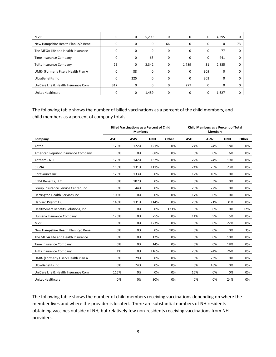| <b>MVP</b>                          |              | 0        | 5,299    | 0        |          | 0   | 4,295    |    |
|-------------------------------------|--------------|----------|----------|----------|----------|-----|----------|----|
| New Hampshire Health Plan (c/o Bene |              |          | 0        | 66       |          | 0   | 0        | 73 |
| The MEGA Life and Health Insurance  |              | $\Omega$ | 9        | $\Omega$ |          | 0   | 77       |    |
| Time Insurance Company              |              | 0        | 63       | 0        |          | 0   | 441      |    |
| <b>Tufts Insurance Company</b>      | 25           | 0        | 3,342    | 0        | 1,789    | 31  | 2,885    |    |
| UMR- (Formerly Fiserv Health Plan A |              | 88       | 0        | 0        | $\Omega$ | 309 | 0        |    |
| UltraBenefits Inc                   | <sup>0</sup> | 225      | $\Omega$ | 0        | $\Omega$ | 303 | 0        |    |
| UniCare Life & Health Insurance Com | 317          | $\Omega$ | 0        | $\Omega$ | 277      | 0   | $\Omega$ |    |
| UnitedHealthcare                    |              | 0        | 1,459    |          |          | 0   | 1,627    |    |

The following table shows the number of billed vaccinations as a percent of the child members, and child members as a percent of company totals.

|                                      |            | <b>Billed Vaccinations as a Percent of Child</b><br><b>Members</b> |            | <b>Child Members as a Percent of Total</b><br><b>Members</b> |            |            |            |       |
|--------------------------------------|------------|--------------------------------------------------------------------|------------|--------------------------------------------------------------|------------|------------|------------|-------|
| Company                              | <b>ASO</b> | <b>ASW</b>                                                         | <b>UND</b> | Other                                                        | <b>ASO</b> | <b>ASW</b> | <b>UND</b> | Other |
| Aetna                                | 126%       | 122%                                                               | 121%       | 0%                                                           | 24%        | 24%        | 18%        | 0%    |
| American Republic Insurance Company  | 0%         | 0%                                                                 | 88%        | 0%                                                           | 0%         | 0%         | 6%         | 0%    |
| Anthem - NH                          | 120%       | 142%                                                               | 132%       | 0%                                                           | 22%        | 24%        | 19%        | 0%    |
| <b>CIGNA</b>                         | 113%       | 131%                                                               | 111%       | 0%                                                           | 24%        | 25%        | 23%        | 0%    |
| CoreSource Inc                       | 125%       | 133%                                                               | 0%         | 0%                                                           | 12%        | 10%        | 0%         | 0%    |
| EBPA Benefits, LLC                   | 0%         | 107%                                                               | 0%         | 0%                                                           | 0%         | 3%         | 0%         | 0%    |
| Group Insurance Service Center, Inc. | 0%         | 44%                                                                | 0%         | 0%                                                           | 25%        | 22%        | 0%         | 0%    |
| Harrington Health Services Inc       | 108%       | 0%                                                                 | 0%         | 0%                                                           | 17%        | 0%         | 0%         | 0%    |
| Harvard Pilgrim HC                   | 148%       | 131%                                                               | 114%       | 0%                                                           | 26%        | 21%        | 31%        | 0%    |
| HealthSmart Benefits Solutions, Inc  | 0%         | 0%                                                                 | 0%         | 123%                                                         | 0%         | 0%         | 0%         | 22%   |
| Humana Insurance Company             | 126%       | 0%                                                                 | 75%        | 0%                                                           | 11%        | 9%         | 5%         | 0%    |
| <b>MVP</b>                           | 0%         | 0%                                                                 | 123%       | 0%                                                           | 0%         | 0%         | 22%        | 0%    |
| New Hampshire Health Plan (c/o Bene  | 0%         | 0%                                                                 | 0%         | 90%                                                          | 0%         | 0%         | 0%         | 3%    |
| The MEGA Life and Health Insurance   | 0%         | 0%                                                                 | 12%        | 0%                                                           | 0%         | 0%         | 10%        | 0%    |
| Time Insurance Company               | 0%         | 0%                                                                 | 14%        | 0%                                                           | 0%         | 0%         | 18%        | 0%    |
| <b>Tufts Insurance Company</b>       | 1%         | 0%                                                                 | 116%       | 0%                                                           | 28%        | 24%        | 26%        | 0%    |
| UMR- (Formerly Fiserv Health Plan A  | 0%         | 29%                                                                | 0%         | 0%                                                           | 0%         | 23%        | 0%         | 0%    |
| <b>UltraBenefits Inc</b>             | 0%         | 74%                                                                | 0%         | 0%                                                           | 0%         | 18%        | 0%         | 0%    |
| UniCare Life & Health Insurance Com  | 115%       | 0%                                                                 | 0%         | 0%                                                           | 16%        | 0%         | 0%         | 0%    |
| UnitedHealthcare                     | 0%         | 0%                                                                 | 90%        | 0%                                                           | 0%         | 0%         | 24%        | 0%    |

The following table shows the number of child members receiving vaccinations depending on where the member lives and where the provider is located. There are substantial numbers of NH residents obtaining vaccines outside of NH, but relatively few non-residents receiving vaccinations from NH providers.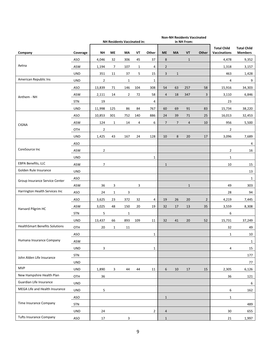|                                       |            | NH Residents Vaccinated in: |                |                |     |                | <b>Non-NH Residents Vaccinated</b><br>in NH From: |                |                |                |                                           |                                      |
|---------------------------------------|------------|-----------------------------|----------------|----------------|-----|----------------|---------------------------------------------------|----------------|----------------|----------------|-------------------------------------------|--------------------------------------|
| Company                               | Coverage   | <b>NH</b>                   | МE             | ΜA             | VT  | Other          | <b>ME</b>                                         | MA             | VT             | Other          | <b>Total Child</b><br><b>Vaccinations</b> | <b>Total Child</b><br><b>Members</b> |
|                                       | ASO        | 4,046                       | 32             | 306            | 45  | 37             | 8                                                 |                | $\mathbf{1}$   |                | 4,478                                     | 9,352                                |
| Aetna                                 | ASW        | 1,194                       | $\overline{7}$ | 107            | 1   | 4              | $\overline{2}$                                    |                |                |                | 1,318                                     | 3,157                                |
|                                       | <b>UND</b> | 351                         | 11             | 37             | 5   | 15             | 3                                                 | $\mathbf{1}$   |                |                | 463                                       | 1,428                                |
| American Republic Ins                 | <b>UND</b> | $\overline{2}$              |                | $\mathbf{1}$   |     | $\mathbf{1}$   |                                                   |                |                |                | $\overline{4}$                            | 9                                    |
|                                       | ASO        | 13,839                      | 71             | 146            | 104 | 308            | 54                                                | 63             | 257            | 58             | 15,916                                    | 34,303                               |
| Anthem - NH                           | ASW        | 2,111                       | 14             | $\overline{2}$ | 72  | 58             | $\overline{4}$                                    | 18             | 347            | 3              | 3,110                                     | 6,846                                |
|                                       | <b>STN</b> | 19                          |                |                |     | $\overline{4}$ |                                                   |                |                |                | 23                                        |                                      |
|                                       | <b>UND</b> | 11,998                      | 125            | 86             | 84  | 767            | 60                                                | 69             | 91             | 83             | 15,734                                    | 38,220                               |
|                                       | ASO        | 10,853                      | 301            | 752            | 140 | 886            | 24                                                | 39             | 71             | 25             | 16,013                                    | 32,453                               |
| <b>CIGNA</b>                          | ASW        | 124                         | $\mathbf{1}$   | 14             | 4   | 6              | $\overline{7}$                                    | $\overline{7}$ | $\overline{4}$ | 10             | 956                                       | 5,500                                |
|                                       | OTH        | $\overline{2}$              |                |                |     |                |                                                   |                |                |                | $\overline{2}$                            |                                      |
|                                       | <b>UND</b> | 1,425                       | 43             | 167            | 24  | 128            | 10                                                | 8              | 20             | 17             | 3,096                                     | 7,689                                |
|                                       | ASO        |                             |                |                |     |                |                                                   |                |                |                |                                           | 4                                    |
| CoreSource Inc                        | <b>ASW</b> | $\overline{2}$              |                |                |     |                |                                                   |                |                |                | $\overline{2}$                            | 16                                   |
|                                       | <b>UND</b> |                             |                |                |     | $\mathbf{1}$   |                                                   |                |                |                | $\mathbf{1}$                              |                                      |
| EBPA Benefits, LLC                    | ASW        | $\overline{7}$              |                |                |     |                | $\mathbf{1}$                                      |                |                |                | 10                                        | 15                                   |
| Golden Rule Insurance                 | <b>UND</b> |                             |                |                |     |                |                                                   |                |                |                |                                           | 13                                   |
| Group Insurance Service Center        | ASO        |                             |                |                |     |                |                                                   |                |                |                |                                           | $\mathbf{1}$                         |
|                                       | ASW        | 36                          | 3              |                | 3   |                |                                                   |                | $\mathbf{1}$   |                | 49                                        | 303                                  |
| Harrington Health Services Inc        | ASO        | 24                          | $\mathbf{1}$   | 3              |     |                |                                                   |                |                |                | 28                                        | 94                                   |
|                                       | ASO        | 3,625                       | 23             | 372            | 32  | 4              | 19                                                | 26             | 20             | $\overline{2}$ | 4,219                                     | 7,445                                |
| Harvard Pilgrim HC                    | ASW        | 3,025                       | 48             | 150            | 20  | 19             | 32                                                | 17             | 13             | 35             | 3,559                                     | 8,308                                |
|                                       | <b>STN</b> | 5                           |                | $\mathbf{1}$   |     |                |                                                   |                |                |                | 6                                         |                                      |
|                                       | <b>UND</b> | 13,437                      | 66             | 893            | 109 | 11             | 32                                                | 41             | 20             | 52             | 15,731                                    | 37,249                               |
| <b>HealthSmart Benefits Solutions</b> | OTH        | 20                          | $\mathbf{1}$   | 11             |     |                |                                                   |                |                |                | 32                                        | 49                                   |
|                                       | <b>ASO</b> |                             |                |                |     | $\mathbf{1}$   |                                                   |                |                |                | $\mathbf{1}$                              | 10                                   |
| Humana Insurance Company              | ASW        |                             |                |                |     |                |                                                   |                |                |                |                                           | $\mathbf{1}$                         |
|                                       | <b>UND</b> | 3                           |                |                |     | $\mathbf{1}$   |                                                   |                |                |                | 4                                         | 15                                   |
| John Alden Life Insurance             | STN        |                             |                |                |     |                |                                                   |                |                |                |                                           | 177                                  |
|                                       | <b>UND</b> |                             |                |                |     |                |                                                   |                |                |                |                                           | 77                                   |
| <b>MVP</b>                            | <b>UND</b> | 1,890                       | 3              | 44             | 44  | 11             | 6                                                 | 10             | 17             | 15             | 2,305                                     | 6,126                                |
| New Hampshire Health Plan             | OTH        | 36                          |                |                |     |                |                                                   |                |                |                | 36                                        | 121                                  |
| Guardian Life Insurance               | UND        |                             |                |                |     |                |                                                   |                |                |                |                                           | 6                                    |
| MEGA Life and Health Insurance        | <b>UND</b> | 5                           |                |                |     |                |                                                   |                |                |                | 6                                         | 162                                  |
|                                       | ASO        |                             |                |                |     |                | $\mathbf{1}$                                      |                |                |                | $\mathbf{1}$                              |                                      |
| Time Insurance Company                | STN        |                             |                |                |     |                |                                                   |                |                |                |                                           | 489                                  |
|                                       | <b>UND</b> | 24                          |                |                |     | $\overline{2}$ | $\overline{a}$                                    |                |                |                | 30                                        | 655                                  |
| <b>Tufts Insurance Company</b>        | ASO        | 17                          |                | 3              |     |                | $\mathbf{1}$                                      |                |                |                | 21                                        | 1,997                                |